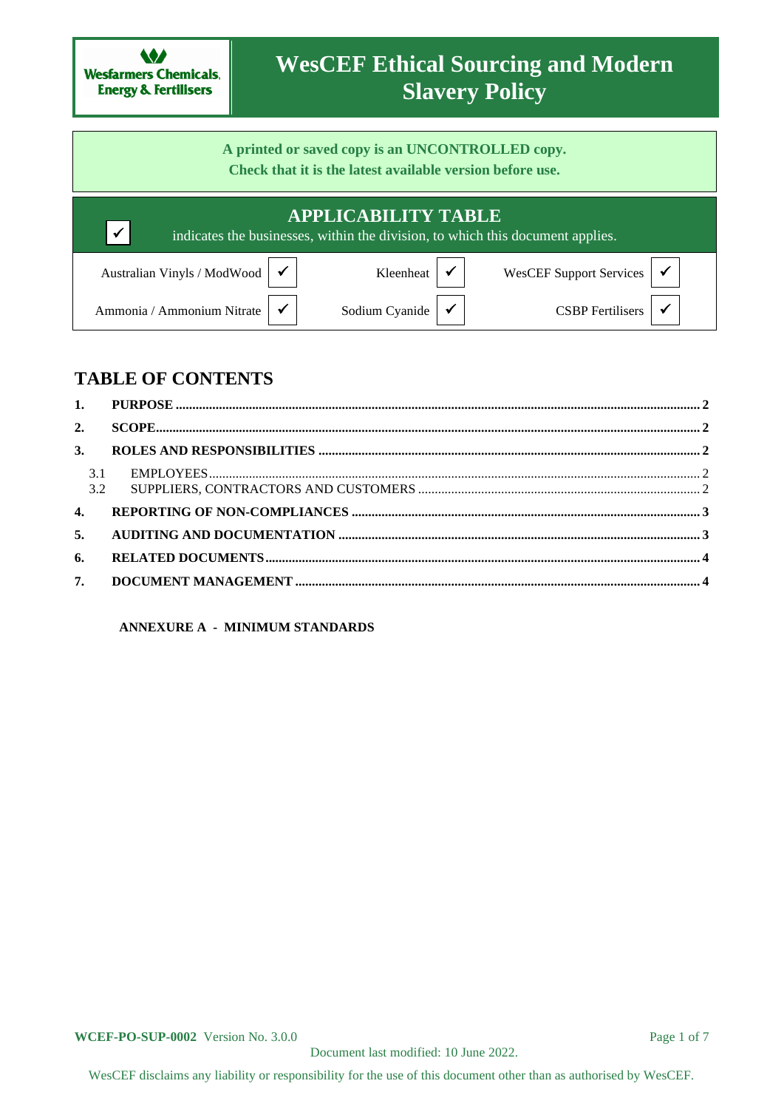

# **WesCEF Ethical Sourcing and Modern Slavery Policy**

**A printed or saved copy is an UNCONTROLLED copy. Check that it is the latest available version before use.**

|                                               | <b>APPLICABILITY TABLE</b><br>indicates the businesses, within the division, to which this document applies. |                                                  |
|-----------------------------------------------|--------------------------------------------------------------------------------------------------------------|--------------------------------------------------|
| Australian Vinyls / ModWood $\sqrt{\sqrt{ }}$ | Kleenheat                                                                                                    | WesCEF Support Services $\vert \checkmark \vert$ |
| Ammonia / Ammonium Nitrate                    | Sodium Cyanide $\vert \checkmark$                                                                            | CSBP Fertilisers                                 |

# **TABLE OF CONTENTS**

| 2.           |  |
|--------------|--|
| 3.           |  |
| 3.1<br>3.2   |  |
| $\mathbf{4}$ |  |
| 5.           |  |
| 6.           |  |
| 7.           |  |
|              |  |

**ANNEXURE A - MINIMUM STANDARDS**

**WCEF-PO-SUP-0002** Version No. 3.0.0 **Page 1 of 7** Page 1 of 7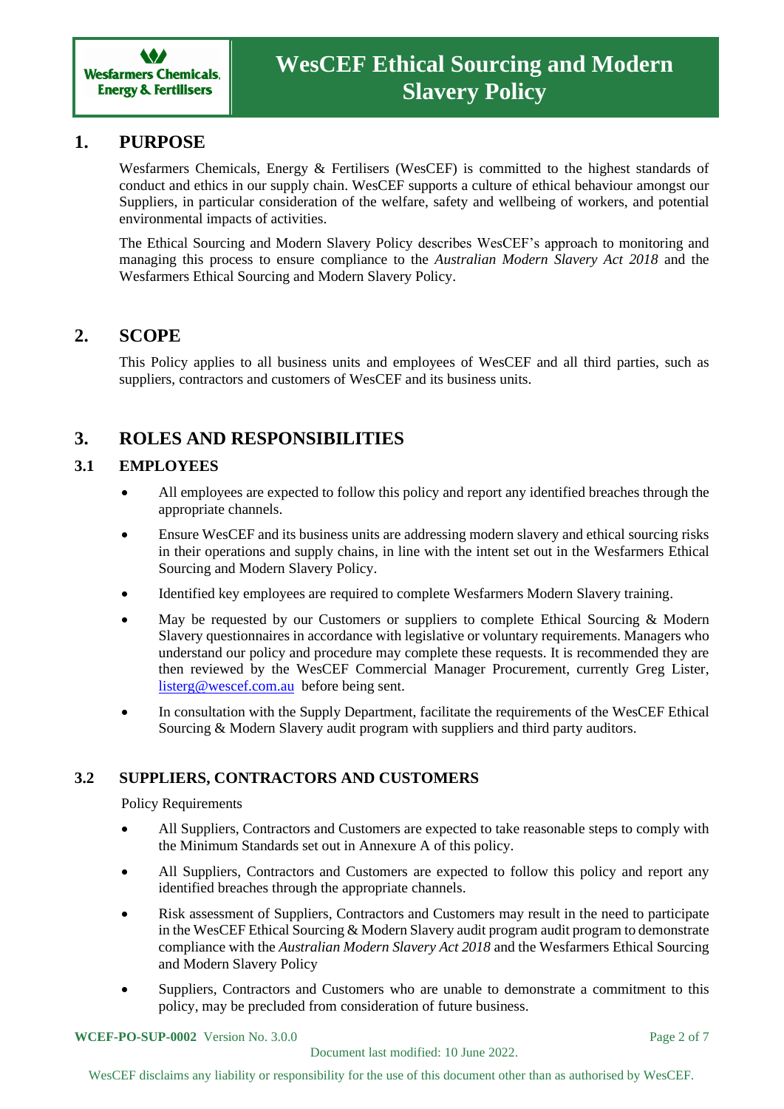

### **1. PURPOSE**

Wesfarmers Chemicals, Energy & Fertilisers (WesCEF) is committed to the highest standards of conduct and ethics in our supply chain. WesCEF supports a culture of ethical behaviour amongst our Suppliers, in particular consideration of the welfare, safety and wellbeing of workers, and potential environmental impacts of activities.

The Ethical Sourcing and Modern Slavery Policy describes WesCEF's approach to monitoring and managing this process to ensure compliance to the *Australian Modern Slavery Act 2018* and the Wesfarmers Ethical Sourcing and Modern Slavery Policy.

### **2. SCOPE**

This Policy applies to all business units and employees of WesCEF and all third parties, such as suppliers, contractors and customers of WesCEF and its business units.

# **3. ROLES AND RESPONSIBILITIES**

#### **3.1 EMPLOYEES**

- All employees are expected to follow this policy and report any identified breaches through the appropriate channels.
- Ensure WesCEF and its business units are addressing modern slavery and ethical sourcing risks in their operations and supply chains, in line with the intent set out in the Wesfarmers Ethical Sourcing and Modern Slavery Policy.
- Identified key employees are required to complete Wesfarmers Modern Slavery training.
- May be requested by our Customers or suppliers to complete Ethical Sourcing & Modern Slavery questionnaires in accordance with legislative or voluntary requirements. Managers who understand our policy and procedure may complete these requests. It is recommended they are then reviewed by the WesCEF Commercial Manager Procurement, currently Greg Lister, [listerg@wescef.com.au](mailto:listerg@wescef.com.au) before being sent.
- In consultation with the Supply Department, facilitate the requirements of the WesCEF Ethical Sourcing & Modern Slavery audit program with suppliers and third party auditors.

#### **3.2 SUPPLIERS, CONTRACTORS AND CUSTOMERS**

Policy Requirements

- All Suppliers, Contractors and Customers are expected to take reasonable steps to comply with the Minimum Standards set out in Annexure A of this policy.
- All Suppliers, Contractors and Customers are expected to follow this policy and report any identified breaches through the appropriate channels.
- Risk assessment of Suppliers, Contractors and Customers may result in the need to participate in the WesCEF Ethical Sourcing & Modern Slavery audit program audit program to demonstrate compliance with the *Australian Modern Slavery Act 2018* and the Wesfarmers Ethical Sourcing and Modern Slavery Policy
- Suppliers, Contractors and Customers who are unable to demonstrate a commitment to this policy, may be precluded from consideration of future business.

**WCEF-PO-SUP-0002** Version No. 3.0.0 **Page 2 of 7** Page 2 of 7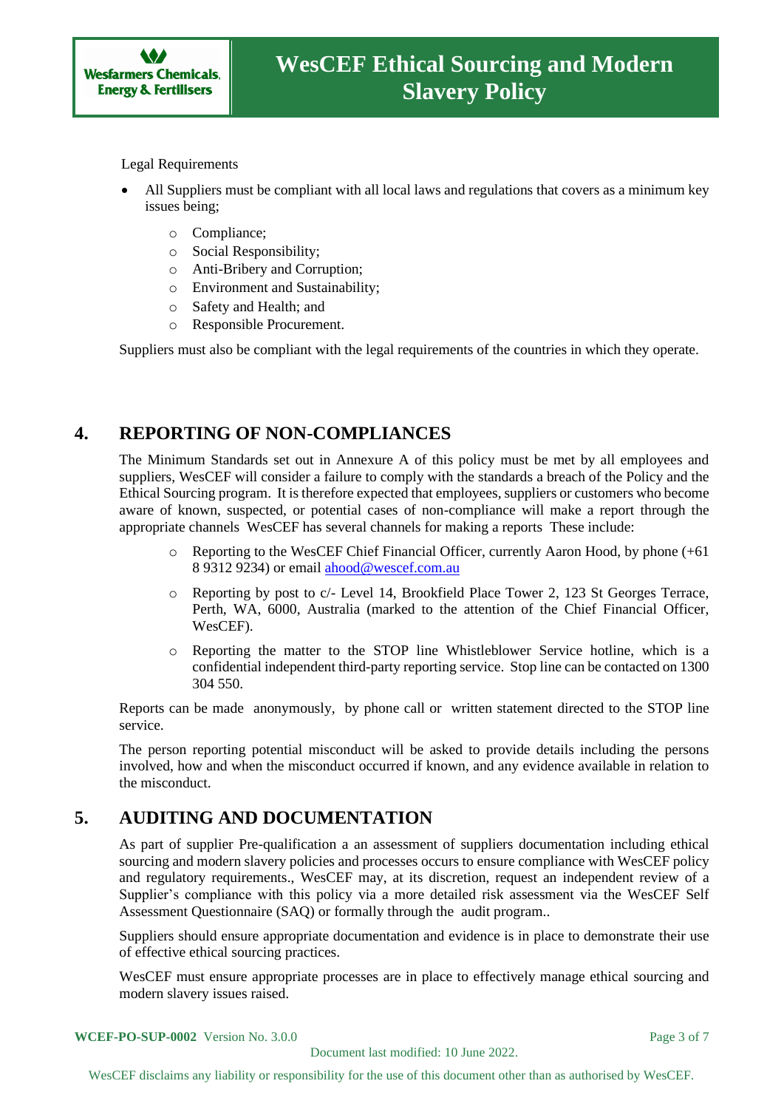

Legal Requirements

- All Suppliers must be compliant with all local laws and regulations that covers as a minimum key issues being;
	- o Compliance;
	- o Social Responsibility;
	- o Anti-Bribery and Corruption;
	- o Environment and Sustainability;
	- o Safety and Health; and
	- o Responsible Procurement.

Suppliers must also be compliant with the legal requirements of the countries in which they operate.

## **4. REPORTING OF NON-COMPLIANCES**

The Minimum Standards set out in Annexure A of this policy must be met by all employees and suppliers, WesCEF will consider a failure to comply with the standards a breach of the Policy and the Ethical Sourcing program. It is therefore expected that employees, suppliers or customers who become aware of known, suspected, or potential cases of non-compliance will make a report through the appropriate channels WesCEF has several channels for making a reports These include:

- Reporting to the WesCEF Chief Financial Officer, currently Aaron Hood, by phone  $(+61)$ 8 9312 9234) or emai[l ahood@wescef.com.au](mailto:ahood@wescef.com.au)
- o Reporting by post to c/- Level 14, Brookfield Place Tower 2, 123 St Georges Terrace, Perth, WA, 6000, Australia (marked to the attention of the Chief Financial Officer, WesCEF).
- o Reporting the matter to the STOP line Whistleblower Service hotline, which is a confidential independent third-party reporting service. Stop line can be contacted on 1300 304 550.

Reports can be made anonymously, by phone call or written statement directed to the STOP line service.

The person reporting potential misconduct will be asked to provide details including the persons involved, how and when the misconduct occurred if known, and any evidence available in relation to the misconduct.

## **5. AUDITING AND DOCUMENTATION**

As part of supplier Pre-qualification a an assessment of suppliers documentation including ethical sourcing and modern slavery policies and processes occurs to ensure compliance with WesCEF policy and regulatory requirements., WesCEF may, at its discretion, request an independent review of a Supplier's compliance with this policy via a more detailed risk assessment via the WesCEF Self Assessment Questionnaire (SAQ) or formally through the audit program..

Suppliers should ensure appropriate documentation and evidence is in place to demonstrate their use of effective ethical sourcing practices.

WesCEF must ensure appropriate processes are in place to effectively manage ethical sourcing and modern slavery issues raised.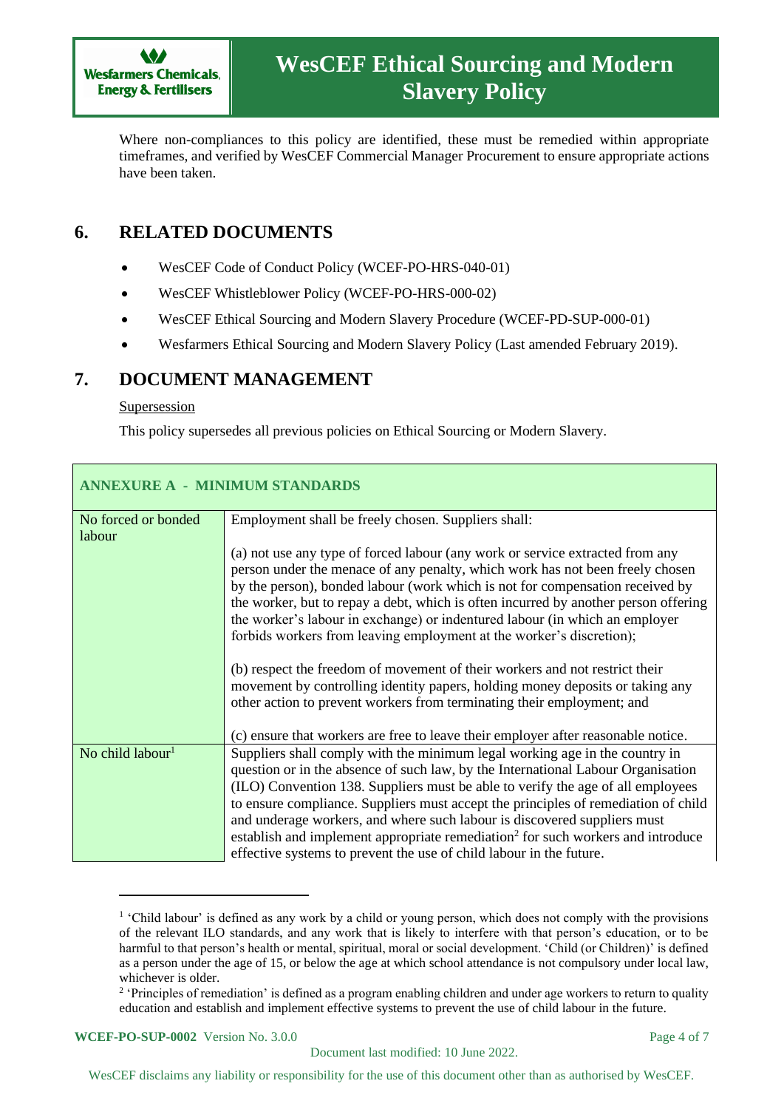

Where non-compliances to this policy are identified, these must be remedied within appropriate timeframes, and verified by WesCEF Commercial Manager Procurement to ensure appropriate actions have been taken.

# **6. RELATED DOCUMENTS**

- WesCEF Code of Conduct Policy (WCEF-PO-HRS-040-01)
- WesCEF Whistleblower Policy (WCEF-PO-HRS-000-02)
- WesCEF Ethical Sourcing and Modern Slavery Procedure (WCEF-PD-SUP-000-01)
- Wesfarmers Ethical Sourcing and Modern Slavery Policy (Last amended February 2019).

### **7. DOCUMENT MANAGEMENT**

#### Supersession

This policy supersedes all previous policies on Ethical Sourcing or Modern Slavery.

| <b>ANNEXURE A - MINIMUM STANDARDS</b> |                                                                                                                                                                                                                                                                                                                                                                                                                                                                                                                                                                              |  |
|---------------------------------------|------------------------------------------------------------------------------------------------------------------------------------------------------------------------------------------------------------------------------------------------------------------------------------------------------------------------------------------------------------------------------------------------------------------------------------------------------------------------------------------------------------------------------------------------------------------------------|--|
| No forced or bonded<br>labour         | Employment shall be freely chosen. Suppliers shall:                                                                                                                                                                                                                                                                                                                                                                                                                                                                                                                          |  |
|                                       | (a) not use any type of forced labour (any work or service extracted from any<br>person under the menace of any penalty, which work has not been freely chosen<br>by the person), bonded labour (work which is not for compensation received by<br>the worker, but to repay a debt, which is often incurred by another person offering<br>the worker's labour in exchange) or indentured labour (in which an employer<br>forbids workers from leaving employment at the worker's discretion);<br>(b) respect the freedom of movement of their workers and not restrict their |  |
|                                       | movement by controlling identity papers, holding money deposits or taking any<br>other action to prevent workers from terminating their employment; and                                                                                                                                                                                                                                                                                                                                                                                                                      |  |
| No child labour <sup>1</sup>          | (c) ensure that workers are free to leave their employer after reasonable notice.<br>Suppliers shall comply with the minimum legal working age in the country in                                                                                                                                                                                                                                                                                                                                                                                                             |  |
|                                       | question or in the absence of such law, by the International Labour Organisation<br>(ILO) Convention 138. Suppliers must be able to verify the age of all employees<br>to ensure compliance. Suppliers must accept the principles of remediation of child<br>and underage workers, and where such labour is discovered suppliers must<br>establish and implement appropriate remediation <sup>2</sup> for such workers and introduce<br>effective systems to prevent the use of child labour in the future.                                                                  |  |

<sup>&</sup>lt;sup>1</sup> 'Child labour' is defined as any work by a child or young person, which does not comply with the provisions of the relevant ILO standards, and any work that is likely to interfere with that person's education, or to be harmful to that person's health or mental, spiritual, moral or social development. 'Child (or Children)' is defined as a person under the age of 15, or below the age at which school attendance is not compulsory under local law, whichever is older.

#### **WCEF-PO-SUP-0002** Version No. 3.0.0 **Page 4 of 7**

<sup>&</sup>lt;sup>2</sup> 'Principles of remediation' is defined as a program enabling children and under age workers to return to quality education and establish and implement effective systems to prevent the use of child labour in the future.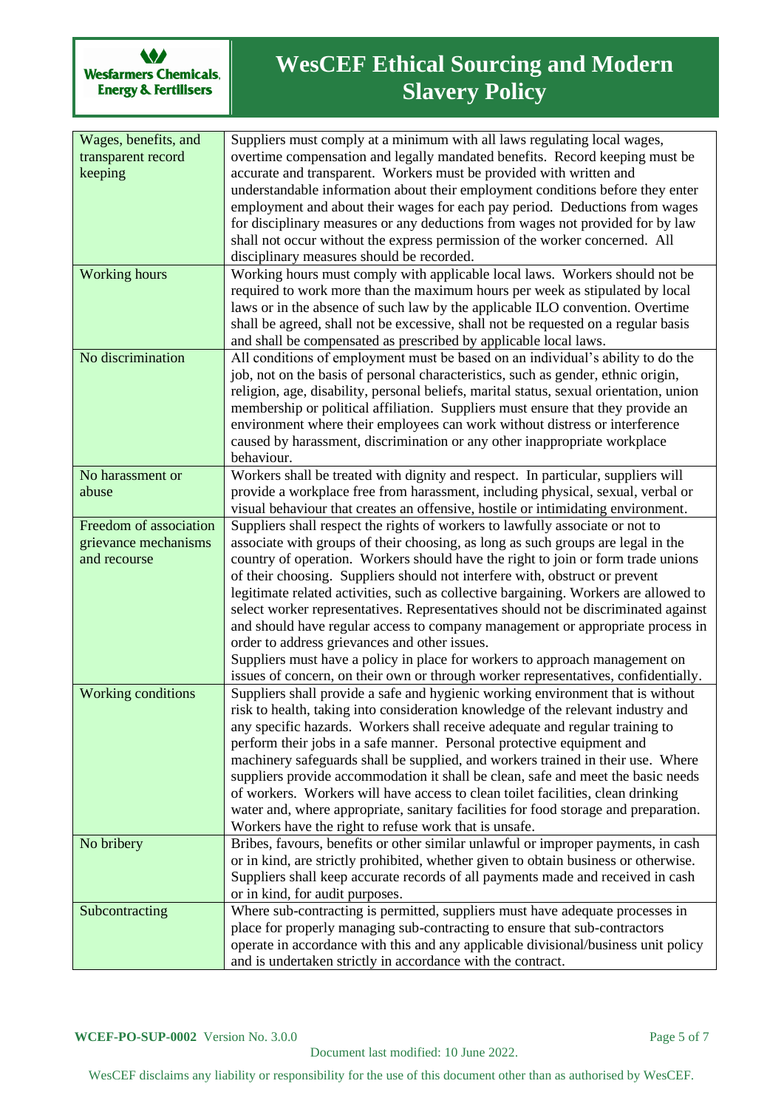

# **WesCEF Ethical Sourcing and Modern Slavery Policy**

| Wages, benefits, and   | Suppliers must comply at a minimum with all laws regulating local wages,                                                                                    |
|------------------------|-------------------------------------------------------------------------------------------------------------------------------------------------------------|
| transparent record     | overtime compensation and legally mandated benefits. Record keeping must be                                                                                 |
| keeping                | accurate and transparent. Workers must be provided with written and                                                                                         |
|                        | understandable information about their employment conditions before they enter                                                                              |
|                        | employment and about their wages for each pay period. Deductions from wages                                                                                 |
|                        | for disciplinary measures or any deductions from wages not provided for by law                                                                              |
|                        | shall not occur without the express permission of the worker concerned. All                                                                                 |
|                        | disciplinary measures should be recorded.                                                                                                                   |
| <b>Working</b> hours   | Working hours must comply with applicable local laws. Workers should not be                                                                                 |
|                        | required to work more than the maximum hours per week as stipulated by local                                                                                |
|                        | laws or in the absence of such law by the applicable ILO convention. Overtime                                                                               |
|                        | shall be agreed, shall not be excessive, shall not be requested on a regular basis                                                                          |
| No discrimination      | and shall be compensated as prescribed by applicable local laws.<br>All conditions of employment must be based on an individual's ability to do the         |
|                        | job, not on the basis of personal characteristics, such as gender, ethnic origin,                                                                           |
|                        | religion, age, disability, personal beliefs, marital status, sexual orientation, union                                                                      |
|                        | membership or political affiliation. Suppliers must ensure that they provide an                                                                             |
|                        | environment where their employees can work without distress or interference                                                                                 |
|                        | caused by harassment, discrimination or any other inappropriate workplace                                                                                   |
|                        | behaviour.                                                                                                                                                  |
| No harassment or       | Workers shall be treated with dignity and respect. In particular, suppliers will                                                                            |
| abuse                  | provide a workplace free from harassment, including physical, sexual, verbal or                                                                             |
|                        | visual behaviour that creates an offensive, hostile or intimidating environment.                                                                            |
| Freedom of association | Suppliers shall respect the rights of workers to lawfully associate or not to                                                                               |
| grievance mechanisms   | associate with groups of their choosing, as long as such groups are legal in the                                                                            |
| and recourse           | country of operation. Workers should have the right to join or form trade unions                                                                            |
|                        | of their choosing. Suppliers should not interfere with, obstruct or prevent                                                                                 |
|                        | legitimate related activities, such as collective bargaining. Workers are allowed to                                                                        |
|                        | select worker representatives. Representatives should not be discriminated against                                                                          |
|                        | and should have regular access to company management or appropriate process in                                                                              |
|                        | order to address grievances and other issues.                                                                                                               |
|                        | Suppliers must have a policy in place for workers to approach management on                                                                                 |
|                        | issues of concern, on their own or through worker representatives, confidentially.                                                                          |
| Working conditions     | Suppliers shall provide a safe and hygienic working environment that is without                                                                             |
|                        | risk to health, taking into consideration knowledge of the relevant industry and                                                                            |
|                        | any specific hazards. Workers shall receive adequate and regular training to                                                                                |
|                        | perform their jobs in a safe manner. Personal protective equipment and                                                                                      |
|                        | machinery safeguards shall be supplied, and workers trained in their use. Where                                                                             |
|                        | suppliers provide accommodation it shall be clean, safe and meet the basic needs                                                                            |
|                        | of workers. Workers will have access to clean toilet facilities, clean drinking                                                                             |
|                        | water and, where appropriate, sanitary facilities for food storage and preparation.                                                                         |
|                        | Workers have the right to refuse work that is unsafe.                                                                                                       |
| No bribery             | Bribes, favours, benefits or other similar unlawful or improper payments, in cash                                                                           |
|                        | or in kind, are strictly prohibited, whether given to obtain business or otherwise.                                                                         |
|                        | Suppliers shall keep accurate records of all payments made and received in cash                                                                             |
|                        | or in kind, for audit purposes.                                                                                                                             |
| Subcontracting         | Where sub-contracting is permitted, suppliers must have adequate processes in<br>place for properly managing sub-contracting to ensure that sub-contractors |
|                        | operate in accordance with this and any applicable divisional/business unit policy                                                                          |
|                        | and is undertaken strictly in accordance with the contract.                                                                                                 |
|                        |                                                                                                                                                             |

WesCEF disclaims any liability or responsibility for the use of this document other than as authorised by WesCEF.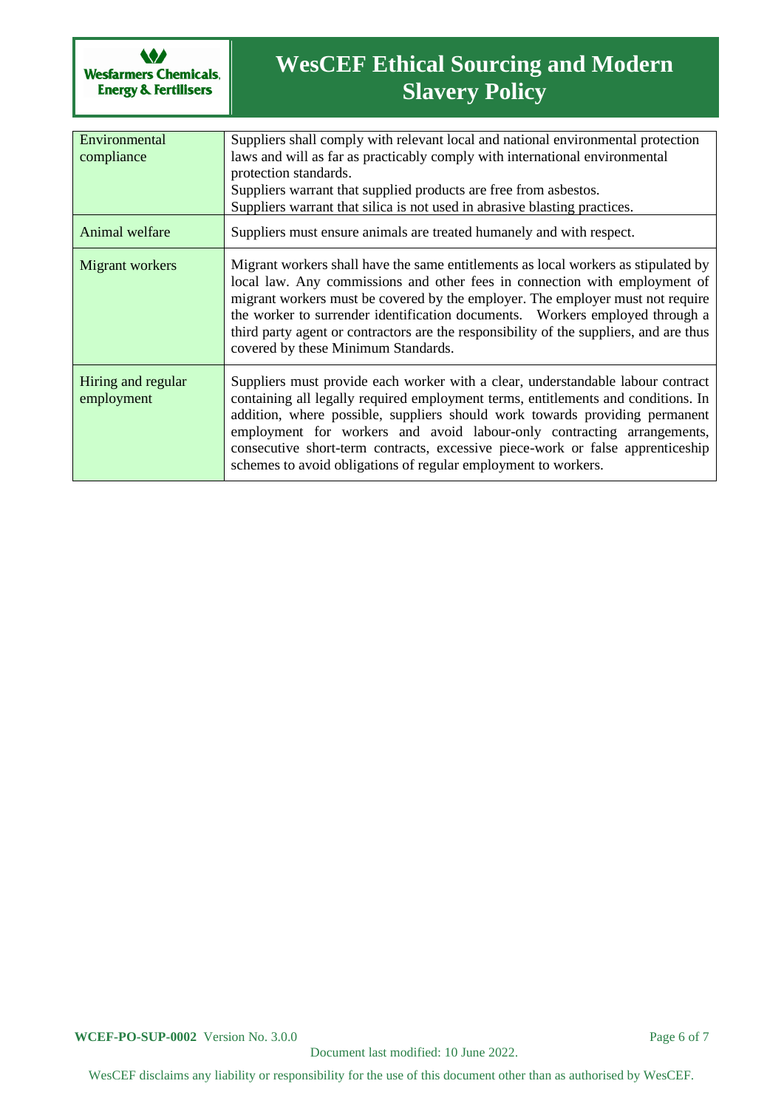

# **WesCEF Ethical Sourcing and Modern Slavery Policy**

| Environmental<br>compliance      | Suppliers shall comply with relevant local and national environmental protection<br>laws and will as far as practicably comply with international environmental<br>protection standards.<br>Suppliers warrant that supplied products are free from asbestos.<br>Suppliers warrant that silica is not used in abrasive blasting practices.                                                                                                                                         |
|----------------------------------|-----------------------------------------------------------------------------------------------------------------------------------------------------------------------------------------------------------------------------------------------------------------------------------------------------------------------------------------------------------------------------------------------------------------------------------------------------------------------------------|
| Animal welfare                   | Suppliers must ensure animals are treated humanely and with respect.                                                                                                                                                                                                                                                                                                                                                                                                              |
| Migrant workers                  | Migrant workers shall have the same entitlements as local workers as stipulated by<br>local law. Any commissions and other fees in connection with employment of<br>migrant workers must be covered by the employer. The employer must not require<br>the worker to surrender identification documents. Workers employed through a<br>third party agent or contractors are the responsibility of the suppliers, and are thus<br>covered by these Minimum Standards.               |
| Hiring and regular<br>employment | Suppliers must provide each worker with a clear, understandable labour contract<br>containing all legally required employment terms, entitlements and conditions. In<br>addition, where possible, suppliers should work towards providing permanent<br>employment for workers and avoid labour-only contracting arrangements,<br>consecutive short-term contracts, excessive piece-work or false apprenticeship<br>schemes to avoid obligations of regular employment to workers. |

WesCEF disclaims any liability or responsibility for the use of this document other than as authorised by WesCEF.